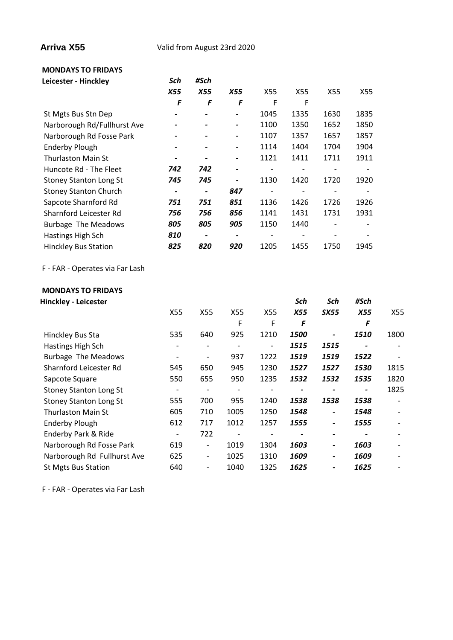**Arriva X55** Valid from August 23rd 2020

## **MONDAYS TO FRIDAYS**

| Leicester - Hinckley            | Sch        | #Sch                     |                              |                          |                          |                          |                          |
|---------------------------------|------------|--------------------------|------------------------------|--------------------------|--------------------------|--------------------------|--------------------------|
|                                 | <b>X55</b> | <b>X55</b>               | <b>X55</b>                   | X55                      | X55                      | X55                      | X55                      |
|                                 | F          | F                        | F                            | F                        | F                        |                          |                          |
| St Mgts Bus Stn Dep             | -          |                          | $\qquad \qquad \blacksquare$ | 1045                     | 1335                     | 1630                     | 1835                     |
| Narborough Rd/Fullhurst Ave     |            |                          | $\overline{\phantom{0}}$     | 1100                     | 1350                     | 1652                     | 1850                     |
| Narborough Rd Fosse Park        |            |                          |                              | 1107                     | 1357                     | 1657                     | 1857                     |
| <b>Enderby Plough</b>           |            |                          |                              | 1114                     | 1404                     | 1704                     | 1904                     |
| <b>Thurlaston Main St</b>       |            |                          | -                            | 1121                     | 1411                     | 1711                     | 1911                     |
| Huncote Rd - The Fleet          | 742        | 742                      | $\overline{\phantom{a}}$     | $\overline{\phantom{0}}$ | $\overline{\phantom{a}}$ | $\overline{\phantom{a}}$ | $\overline{\phantom{a}}$ |
| <b>Stoney Stanton Long St</b>   | 745        | 745                      |                              | 1130                     | 1420                     | 1720                     | 1920                     |
| <b>Stoney Stanton Church</b>    |            | $\overline{\phantom{a}}$ | 847                          |                          |                          |                          |                          |
| Sapcote Sharnford Rd            | 751        | 751                      | 851                          | 1136                     | 1426                     | 1726                     | 1926                     |
| Sharnford Leicester Rd          | 756        | 756                      | 856                          | 1141                     | 1431                     | 1731                     | 1931                     |
| <b>Burbage The Meadows</b>      | 805        | 805                      | 905                          | 1150                     | 1440                     |                          |                          |
| Hastings High Sch               | 810        | $\overline{\phantom{a}}$ | $\overline{\phantom{0}}$     |                          | $\overline{\phantom{a}}$ |                          |                          |
| <b>Hinckley Bus Station</b>     | 825        | 820                      | 920                          | 1205                     | 1455                     | 1750                     | 1945                     |
| F - FAR - Operates via Far Lash |            |                          |                              |                          |                          |                          |                          |
| <b>MONDAYS TO FRIDAYS</b>       |            |                          |                              |                          |                          |                          |                          |
| <b>Hinckley - Leicester</b>     |            |                          |                              |                          | Sch                      | Sch                      | #Sch                     |
|                                 | X55        | X55                      | X55                          | X55                      | X55                      | <b>SX55</b>              | <b>X55</b>               |

|                               | X55 | X55                          | X55                      | X55                      | <b>X55</b> | <b>SX55</b>              | <b>X55</b>               | X55                      |
|-------------------------------|-----|------------------------------|--------------------------|--------------------------|------------|--------------------------|--------------------------|--------------------------|
|                               |     |                              | F                        | F                        | F          |                          | F                        |                          |
| Hinckley Bus Sta              | 535 | 640                          | 925                      | 1210                     | 1500       | $\overline{\phantom{0}}$ | 1510                     | 1800                     |
| Hastings High Sch             |     | $\overline{\phantom{a}}$     | $\overline{\phantom{a}}$ | $\overline{\phantom{a}}$ | 1515       | 1515                     | $\blacksquare$           |                          |
| <b>Burbage The Meadows</b>    |     | -                            | 937                      | 1222                     | 1519       | 1519                     | 1522                     |                          |
| Sharnford Leicester Rd        | 545 | 650                          | 945                      | 1230                     | 1527       | 1527                     | 1530                     | 1815                     |
| Sapcote Square                | 550 | 655                          | 950                      | 1235                     | 1532       | 1532                     | 1535                     | 1820                     |
| <b>Stoney Stanton Long St</b> | -   | $\overline{\phantom{0}}$     | $\overline{\phantom{a}}$ |                          |            |                          | $\overline{\phantom{a}}$ | 1825                     |
| <b>Stoney Stanton Long St</b> | 555 | 700                          | 955                      | 1240                     | 1538       | 1538                     | 1538                     | -                        |
| <b>Thurlaston Main St</b>     | 605 | 710                          | 1005                     | 1250                     | 1548       | -                        | 1548                     | $\overline{\phantom{a}}$ |
| <b>Enderby Plough</b>         | 612 | 717                          | 1012                     | 1257                     | 1555       | $\overline{\phantom{0}}$ | 1555                     |                          |
| Enderby Park & Ride           | -   | 722                          | $\overline{\phantom{a}}$ |                          |            |                          |                          |                          |
| Narborough Rd Fosse Park      | 619 | $\overline{\phantom{a}}$     | 1019                     | 1304                     | 1603       | $\overline{\phantom{0}}$ | 1603                     |                          |
| Narborough Rd Fullhurst Ave   | 625 | $\overline{\phantom{a}}$     | 1025                     | 1310                     | 1609       | $\overline{\phantom{0}}$ | 1609                     |                          |
| <b>St Mgts Bus Station</b>    | 640 | $\qquad \qquad \blacksquare$ | 1040                     | 1325                     | 1625       |                          | 1625                     |                          |

F - FAR - Operates via Far Lash